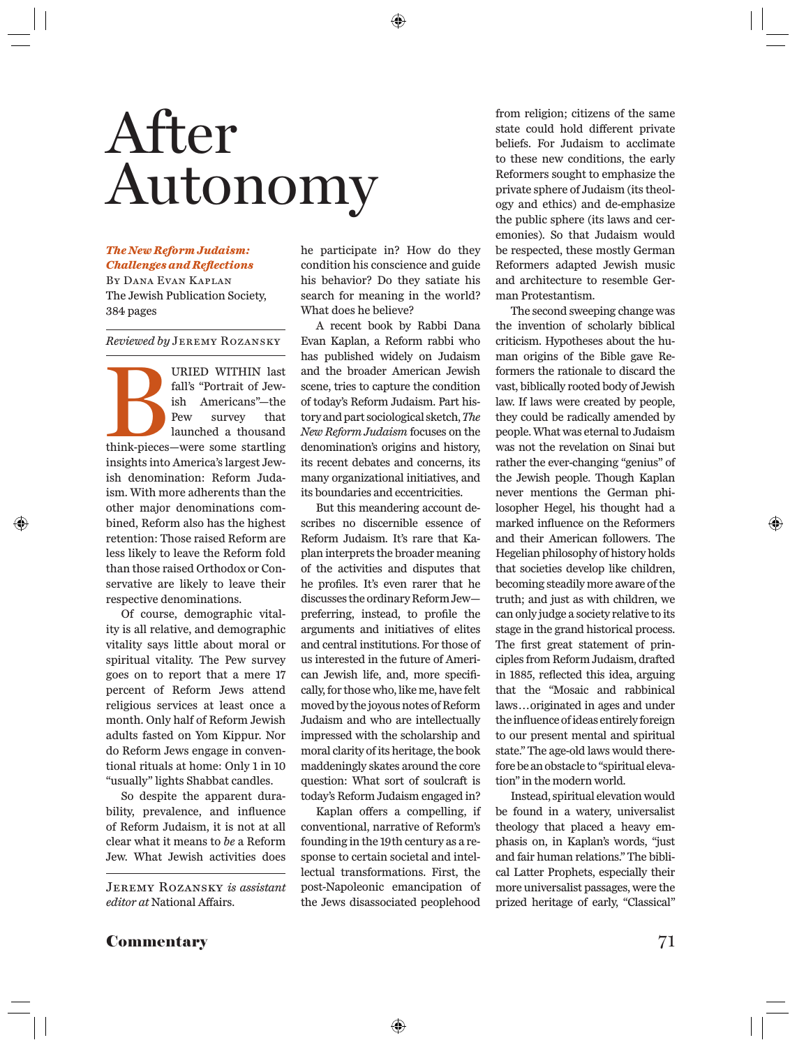# *The New Reform Judaism:*  Autonomy After<br>Autonomy

### *Challenges and Refl ections*

By Dana Evan Kaplan The Jewish Publication Society, 384 pages

*Reviewed by* Jeremy Rozansky

URIED WITHIN last<br>fall's "Portrait of Jew-<br>ish Americans"—the<br>Pew survey that<br>launched a thousand<br>think-pieces—were some startling<br>insights into America's largest Jew-<br>ish denomination: Reform Juda-<br>ism. With more adherent fall's "Portrait of Jewish Americans"—the Pew survey that launched a thousand think-pieces—were some startling insights into America's largest Jewish denomination: Reform Judaism. With more adherents than the other major denominations combined, Reform also has the highest retention: Those raised Reform are less likely to leave the Reform fold than those raised Orthodox or Conservative are likely to leave their respective denominations.

Of course, demographic vitality is all relative, and demographic vitality says little about moral or spiritual vitality. The Pew survey goes on to report that a mere 17 percent of Reform Jews attend religious services at least once a month. Only half of Reform Jewish adults fasted on Yom Kippur. Nor do Reform Jews engage in conventional rituals at home: Only 1 in 10 "usually" lights Shabbat candles.

So despite the apparent durability, prevalence, and influence of Reform Judaism, it is not at all clear what it means to *be* a Reform Jew. What Jewish activities does he participate in? How do they condition his conscience and guide his behavior? Do they satiate his search for meaning in the world? What does he believe?

A recent book by Rabbi Dana Evan Kaplan, a Reform rabbi who has published widely on Judaism and the broader American Jewish scene, tries to capture the condition of today's Reform Judaism. Part history and part sociological sketch, *The New Reform Judaism* focuses on the denomination's origins and history, its recent debates and concerns, its many organizational initiatives, and its boundaries and eccentricities.

But this meandering account describes no discernible essence of Reform Judaism. It's rare that Kaplan interprets the broader meaning of the activities and disputes that he profiles. It's even rarer that he discusses the ordinary Reform Jew preferring, instead, to profile the arguments and initiatives of elites and central institutions. For those of us interested in the future of American Jewish life, and, more specifically, for those who, like me, have felt moved by the joyous notes of Reform Judaism and who are intellectually impressed with the scholarship and moral clarity of its heritage, the book maddeningly skates around the core question: What sort of soulcraft is today's Reform Judaism engaged in?

Kaplan offers a compelling, if conventional, narrative of Reform's founding in the 19th century as a response to certain societal and intellectual transformations. First, the post-Napoleonic emancipation of the Jews disassociated peoplehood

from religion; citizens of the same state could hold different private beliefs. For Judaism to acclimate to these new conditions, the early Reformers sought to emphasize the private sphere of Judaism (its theology and ethics) and de-emphasize the public sphere (its laws and ceremonies). So that Judaism would be respected, these mostly German Reformers adapted Jewish music and architecture to resemble German Protestantism.

The second sweeping change was the invention of scholarly biblical criticism. Hypotheses about the human origins of the Bible gave Reformers the rationale to discard the vast, biblically rooted body of Jewish law. If laws were created by people, they could be radically amended by people. What was eternal to Judaism was not the revelation on Sinai but rather the ever-changing "genius" of the Jewish people. Though Kaplan never mentions the German philosopher Hegel, his thought had a marked influence on the Reformers and their American followers. The Hegelian philosophy of history holds that societies develop like children, becoming steadily more aware of the truth; and just as with children, we can only judge a society relative to its stage in the grand historical process. The first great statement of principles from Reform Judaism, drafted in 1885, reflected this idea, arguing that the "Mosaic and rabbinical laws . . . originated in ages and under the influence of ideas entirely foreign to our present mental and spiritual state." The age-old laws would therefore be an obstacle to "spiritual elevation" in the modern world.

Instead, spiritual elevation would be found in a watery, universalist theology that placed a heavy emphasis on, in Kaplan's words, "just and fair human relations." The biblical Latter Prophets, especially their more universalist passages, were the prized heritage of early, "Classical"

Jeremy Rozansky *is assistant editor at* National Affairs.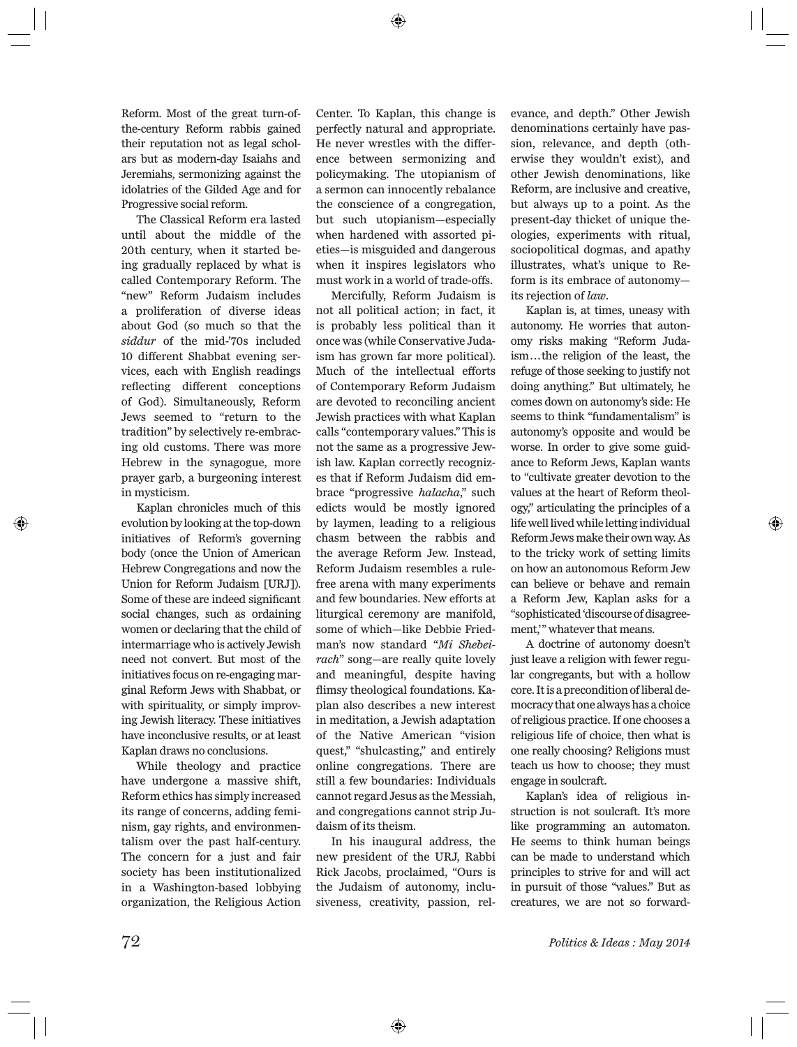Reform. Most of the great turn-ofthe-century Reform rabbis gained their reputation not as legal scholars but as modern-day Isaiahs and Jeremiahs, sermonizing against the idolatries of the Gilded Age and for Progressive social reform.

The Classical Reform era lasted until about the middle of the 20th century, when it started being gradually replaced by what is called Contemporary Reform. The "new" Reform Judaism includes a proliferation of diverse ideas about God (so much so that the *siddur* of the mid-'70s included 10 different Shabbat evening services, each with English readings reflecting different conceptions of God). Simultaneously, Reform Jews seemed to "return to the tradition" by selectively re-embracing old customs. There was more Hebrew in the synagogue, more prayer garb, a burgeoning interest in mysticism.

Kaplan chronicles much of this evolution by looking at the top-down initiatives of Reform's governing body (once the Union of American Hebrew Congregations and now the Union for Reform Judaism [URJ]). Some of these are indeed significant social changes, such as ordaining women or declaring that the child of intermarriage who is actively Jewish need not convert. But most of the initiatives focus on re-engaging marginal Reform Jews with Shabbat, or with spirituality, or simply improving Jewish literacy. These initiatives have inconclusive results, or at least Kaplan draws no conclusions.

While theology and practice have undergone a massive shift, Reform ethics has simply increased its range of concerns, adding feminism, gay rights, and environmentalism over the past half-century. The concern for a just and fair society has been institutionalized in a Washington-based lobbying organization, the Religious Action

Center. To Kaplan, this change is perfectly natural and appropriate. He never wrestles with the difference between sermonizing and policymaking. The utopianism of a sermon can innocently rebalance the conscience of a congregation, but such utopianism—especially when hardened with assorted pieties—is misguided and dangerous when it inspires legislators who must work in a world of trade-offs.

Mercifully, Reform Judaism is not all political action; in fact, it is probably less political than it once was (while Conservative Judaism has grown far more political). Much of the intellectual efforts of Contemporary Reform Judaism are devoted to reconciling ancient Jewish practices with what Kaplan calls "contemporary values." This is not the same as a progressive Jewish law. Kaplan correctly recognizes that if Reform Judaism did embrace "progressive *halacha*," such edicts would be mostly ignored by laymen, leading to a religious chasm between the rabbis and the average Reform Jew. Instead, Reform Judaism resembles a rulefree arena with many experiments and few boundaries. New efforts at liturgical ceremony are manifold, some of which—like Debbie Friedman's now standard "*Mi Shebeirach*" song—are really quite lovely and meaningful, despite having flimsy theological foundations. Kaplan also describes a new interest in meditation, a Jewish adaptation of the Native American "vision quest," "shulcasting," and entirely online congregations. There are still a few boundaries: Individuals cannot regard Jesus as the Messiah, and congregations cannot strip Judaism of its theism.

In his inaugural address, the new president of the URJ, Rabbi Rick Jacobs, proclaimed, "Ours is the Judaism of autonomy, inclusiveness, creativity, passion, relevance, and depth." Other Jewish denominations certainly have passion, relevance, and depth (otherwise they wouldn't exist), and other Jewish denominations, like Reform, are inclusive and creative, but always up to a point. As the present-day thicket of unique theologies, experiments with ritual, sociopolitical dogmas, and apathy illustrates, what's unique to Reform is its embrace of autonomy its rejection of *law*.

Kaplan is, at times, uneasy with autonomy. He worries that autonomy risks making "Reform Judaism . . . the religion of the least, the refuge of those seeking to justify not doing anything." But ultimately, he comes down on autonomy's side: He seems to think "fundamentalism" is autonomy's opposite and would be worse. In order to give some guidance to Reform Jews, Kaplan wants to "cultivate greater devotion to the values at the heart of Reform theology," articulating the principles of a life well lived while letting individual Reform Jews make their own way. As to the tricky work of setting limits on how an autonomous Reform Jew can believe or behave and remain a Reform Jew, Kaplan asks for a "sophisticated 'discourse of disagreement," whatever that means.

A doctrine of autonomy doesn't just leave a religion with fewer regular congregants, but with a hollow core. It is a precondition of liberal democracy that one always has a choice of religious practice. If one chooses a religious life of choice, then what is one really choosing? Religions must teach us how to choose; they must engage in soulcraft.

Kaplan's idea of religious instruction is not soulcraft. It's more like programming an automaton. He seems to think human beings can be made to understand which principles to strive for and will act in pursuit of those "values." But as creatures, we are not so forward